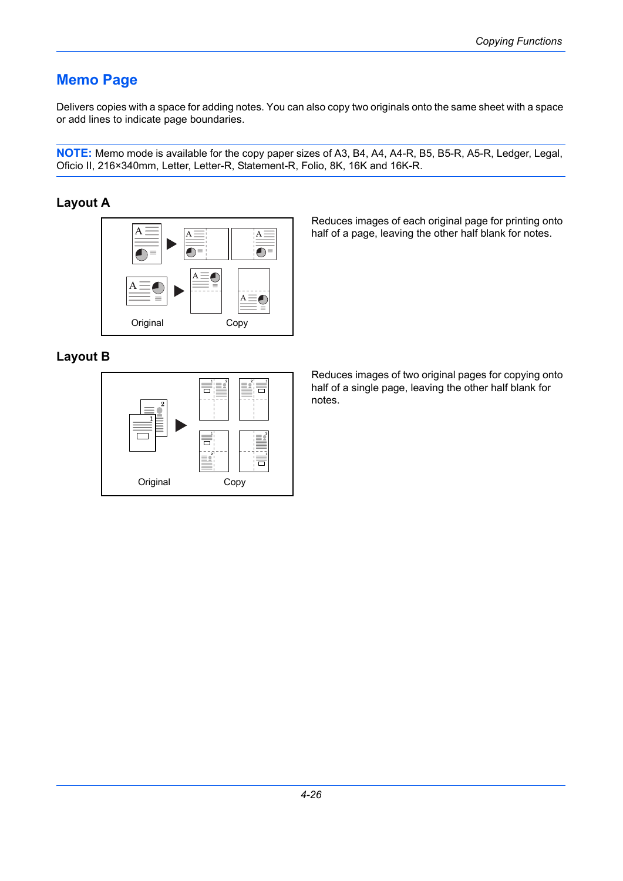## **Memo Page**

Delivers copies with a space for adding notes. You can also copy two originals onto the same sheet with a space or add lines to indicate page boundaries.

**NOTE:** Memo mode is available for the copy paper sizes of A3, B4, A4, A4-R, B5, B5-R, A5-R, Ledger, Legal, Oficio II, 216×340mm, Letter, Letter-R, Statement-R, Folio, 8K, 16K and 16K-R.

## **Layout A**



Reduces images of each original page for printing onto half of a page, leaving the other half blank for notes.

## **Layout B**



Reduces images of two original pages for copying onto half of a single page, leaving the other half blank for notes.